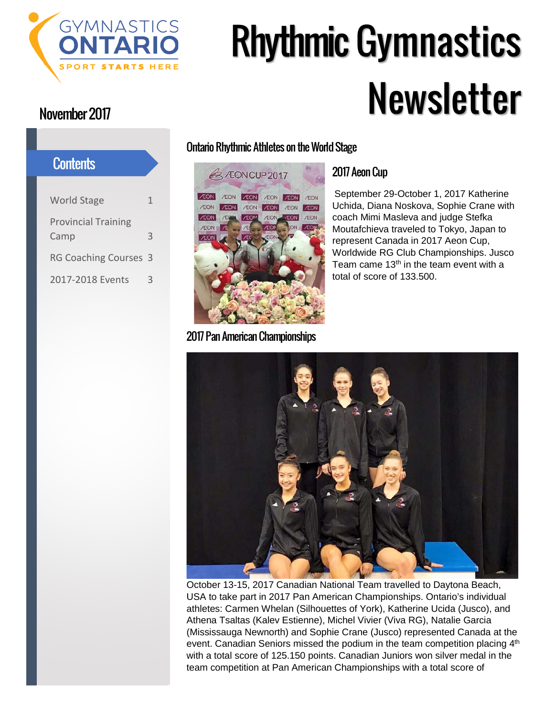

# Rhythmic Gymnastics Newsletter

## World Stage 1 Provincial Training Camp 3 RG Coaching Courses 3 2017-2018 Events 3 **Contents**

## Ontario Rhythmic Athletes on the World Stage



2017 Pan American Championships

## 2017 Aeon Cup

September 29-October 1, 2017 Katherine Uchida, Diana Noskova, Sophie Crane with coach Mimi Masleva and judge Stefka Moutafchieva traveled to Tokyo, Japan to represent Canada in 2017 Aeon Cup, Worldwide RG Club Championships. Jusco Team came  $13<sup>th</sup>$  in the team event with a total of score of 133.500.



October 13-15, 2017 Canadian National Team travelled to Daytona Beach, USA to take part in 2017 Pan American Championships. Ontario's individual athletes: Carmen Whelan (Silhouettes of York), Katherine Ucida (Jusco), and Athena Tsaltas (Kalev Estienne), Michel Vivier (Viva RG), Natalie Garcia (Mississauga Newnorth) and Sophie Crane (Jusco) represented Canada at the event. Canadian Seniors missed the podium in the team competition placing  $4<sup>th</sup>$ with a total score of 125.150 points. Canadian Juniors won silver medal in the team competition at Pan American Championships with a total score of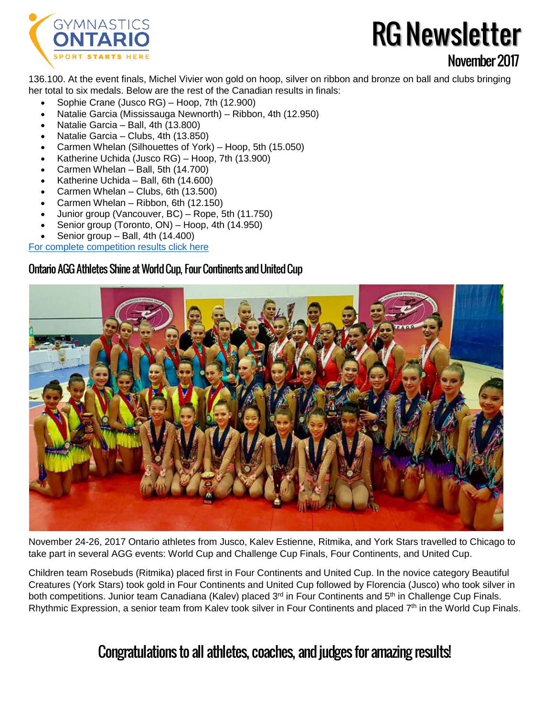

## RG Newsletter November2017

136.100. At the event finals, Michel Vivier won gold on hoop, silver on ribbon and bronze on ball and clubs bringing her total to six medals. Below are the rest of the Canadian results in finals:

- Sophie Crane (Jusco RG) Hoop, 7th (12.900)
- Natalie Garcia (Mississauga Newnorth) Ribbon, 4th (12.950)
- Natalie Garcia Ball, 4th (13.800)
- Natalie Garcia Clubs, 4th (13.850)
- Carmen Whelan (Silhouettes of York) Hoop, 5th (15.050)
- Katherine Uchida (Jusco RG) Hoop, 7th (13.900)
- Carmen Whelan Ball, 5th (14.700)
- Katherine Uchida Ball, 6th (14.600)
- Carmen Whelan Clubs, 6th (13.500)
- Carmen Whelan Ribbon, 6th (12.150)
- Junior group (Vancouver, BC) Rope, 5th (11.750)
- Senior group (Toronto, ON) Hoop, 4th (14.950)
- Senior group  $-$  Ball, 4th (14.400)

#### For complete competition [results click here](https://usagym.org/pages/events/2017/panamchamps/results_r.html)

## Ontario AGG Athletes Shine at World Cup, Four Continents and United Cup



November 24-26, 2017 Ontario athletes from Jusco, Kalev Estienne, Ritmika, and York Stars travelled to Chicago to take part in several AGG events: World Cup and Challenge Cup Finals, Four Continents, and United Cup.

Children team Rosebuds (Ritmika) placed first in Four Continents and United Cup. In the novice category Beautiful Creatures (York Stars) took gold in Four Continents and United Cup followed by Florencia (Jusco) who took silver in both competitions. Junior team Canadiana (Kalev) placed 3<sup>rd</sup> in Four Continents and 5<sup>th</sup> in Challenge Cup Finals. Rhythmic Expression, a senior team from Kalev took silver in Four Continents and placed 7<sup>th</sup> in the World Cup Finals.

## Congratulations to all athletes, coaches, and judges for amazing results!